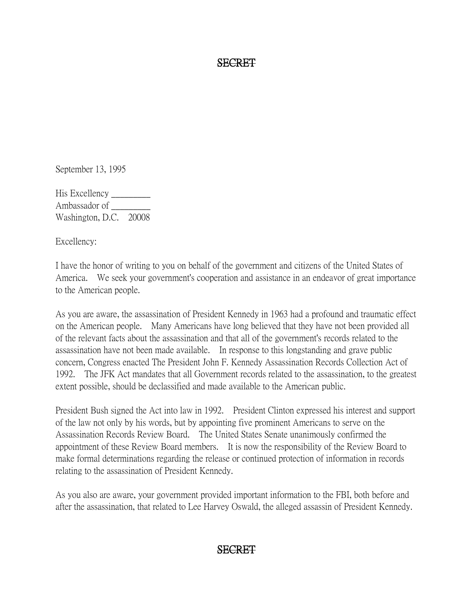#### SECRET

September 13, 1995

His Excellency \_\_\_\_\_\_\_\_\_ Ambassador of \_\_\_\_\_\_\_\_\_ Washington, D.C. 20008

Excellency:

I have the honor of writing to you on behalf of the government and citizens of the United States of America. We seek your government's cooperation and assistance in an endeavor of great importance to the American people.

As you are aware, the assassination of President Kennedy in 1963 had a profound and traumatic effect on the American people. Many Americans have long believed that they have not been provided all of the relevant facts about the assassination and that all of the government's records related to the assassination have not been made available. In response to this longstanding and grave public concern, Congress enacted The President John F. Kennedy Assassination Records Collection Act of 1992. The JFK Act mandates that all Government records related to the assassination, to the greatest extent possible, should be declassified and made available to the American public.

President Bush signed the Act into law in 1992. President Clinton expressed his interest and support of the law not only by his words, but by appointing five prominent Americans to serve on the Assassination Records Review Board. The United States Senate unanimously confirmed the appointment of these Review Board members. It is now the responsibility of the Review Board to make formal determinations regarding the release or continued protection of information in records relating to the assassination of President Kennedy.

As you also are aware, your government provided important information to the FBI, both before and after the assassination, that related to Lee Harvey Oswald, the alleged assassin of President Kennedy.

# SECRET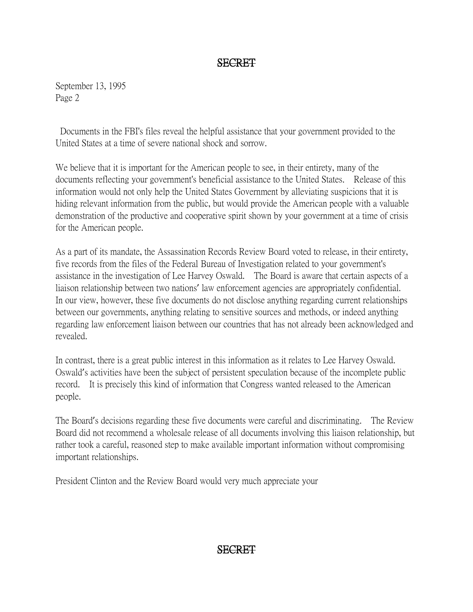### SECRET

September 13, 1995 Page 2

Documents in the FBI's files reveal the helpful assistance that your government provided to the United States at a time of severe national shock and sorrow.

We believe that it is important for the American people to see, in their entirety, many of the documents reflecting your government's beneficial assistance to the United States. Release of this information would not only help the United States Government by alleviating suspicions that it is hiding relevant information from the public, but would provide the American people with a valuable demonstration of the productive and cooperative spirit shown by your government at a time of crisis for the American people.

As a part of its mandate, the Assassination Records Review Board voted to release, in their entirety, five records from the files of the Federal Bureau of Investigation related to your government's assistance in the investigation of Lee Harvey Oswald. The Board is aware that certain aspects of a liaison relationship between two nations' law enforcement agencies are appropriately confidential. In our view, however, these five documents do not disclose anything regarding current relationships between our governments, anything relating to sensitive sources and methods, or indeed anything regarding law enforcement liaison between our countries that has not already been acknowledged and revealed.

In contrast, there is a great public interest in this information as it relates to Lee Harvey Oswald. Oswald's activities have been the subject of persistent speculation because of the incomplete public record. It is precisely this kind of information that Congress wanted released to the American people.

The Board's decisions regarding these five documents were careful and discriminating. The Review Board did not recommend a wholesale release of all documents involving this liaison relationship, but rather took a careful, reasoned step to make available important information without compromising important relationships.

President Clinton and the Review Board would very much appreciate your

# SECRET